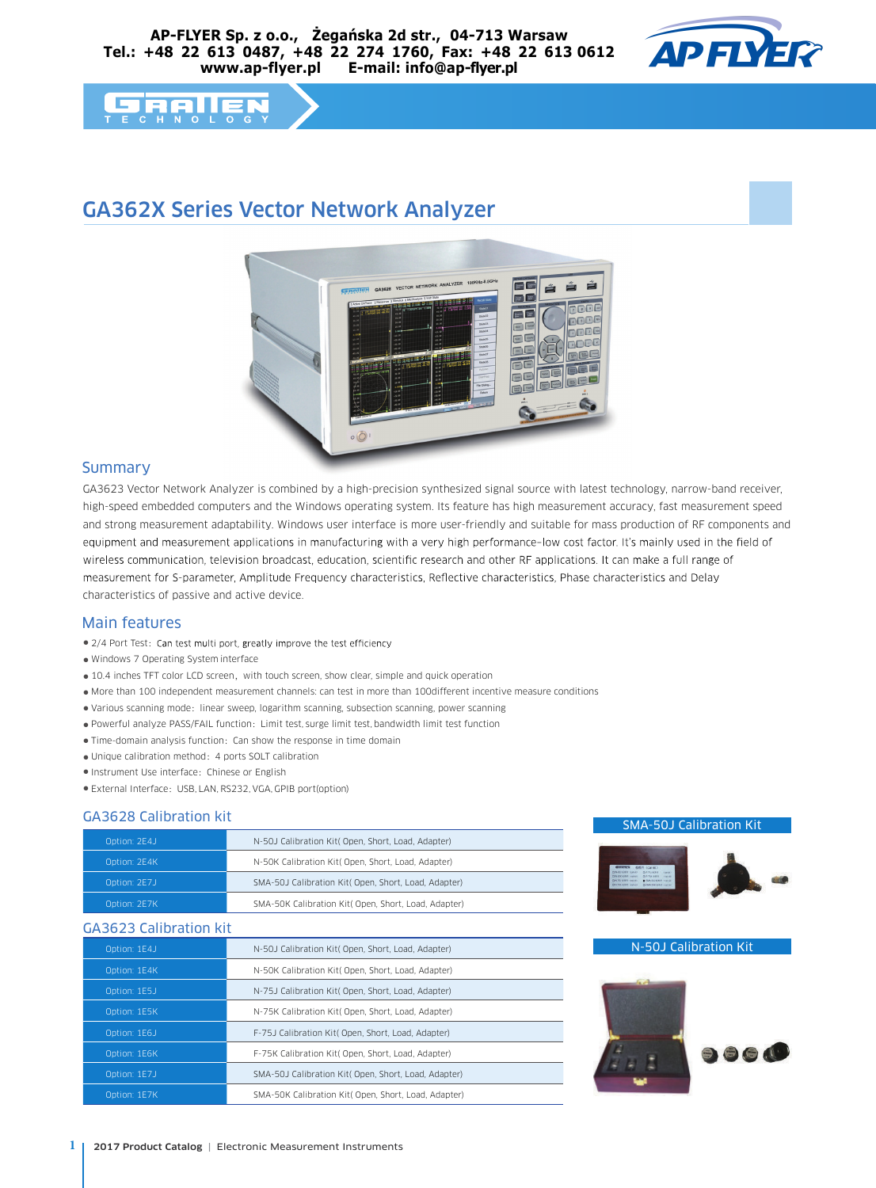

# **FRIE**

## GA362X Series Vector Network Analyzer



#### Summary

GA3623 Vector Network Analyzer is combined by a high-precision synthesized signal source with latest technology, narrow-band receiver, high-speed embedded computers and the Windows operating system. Its feature has high measurement accuracy, fast measurement speed and strong measurement adaptability. Windows user interface is more user-friendly and suitable for mass production of RF components and equipment and measurement applications in manufacturing with a very high performance-low cost factor. It's mainly used in the field of wireless communication, television broadcast, education, scientific research and other RF applications. It can make a full range of measurement for S-parameter, Amplitude Frequency characteristics, Reflective characteristics, Phase characteristics and Delay characteristics of passive and active device.

#### Main features

- 2/4 Port Test:
- Windows 7 Operating System interface
- 10.4 inches TFT color LCD screen, with touch screen, show clear, simple and quick operation
- More than 100 independent measurement channels: can test in more than 100different incentive measure conditions
- Various scanning mode: linear sweep, logarithm scanning, subsection scanning, power scanning
- Powerful analyze PASS/FAIL function:Limit test, surge limit test, bandwidth limit test function
- Time-domain analysis function:Can show the response in time domain
- Unique calibration method:4 ports SOLT calibration
- Instrument Use interface:Chinese or English
- External Interface:USB, LAN, RS232, VGA, GPIB port(option)

#### GA3628 Calibration kit

| Option: 2E4J | N-50J Calibration Kit( Open, Short, Load, Adapter)   |
|--------------|------------------------------------------------------|
| Option: 2E4K | N-50K Calibration Kit( Open, Short, Load, Adapter)   |
| Option: 2E7J | SMA-50J Calibration Kit( Open, Short, Load, Adapter) |
| Option: 2E7K | SMA-50K Calibration Kit( Open, Short, Load, Adapter) |

#### GA3623 Calibration kit

| Option: 1E4J | N-50J Calibration Kit( Open, Short, Load, Adapter)   |  |  |  |
|--------------|------------------------------------------------------|--|--|--|
| Option: 1E4K | N-50K Calibration Kit( Open, Short, Load, Adapter)   |  |  |  |
| Option: 1E5J | N-75J Calibration Kit( Open, Short, Load, Adapter)   |  |  |  |
| Option: 1E5K | N-75K Calibration Kit( Open, Short, Load, Adapter)   |  |  |  |
| Option: 1E6J | F-75J Calibration Kit( Open, Short, Load, Adapter)   |  |  |  |
| Option: 1E6K | F-75K Calibration Kit( Open, Short, Load, Adapter)   |  |  |  |
| Option: 1E7J | SMA-50J Calibration Kit( Open, Short, Load, Adapter) |  |  |  |
| Option: 1E7K | SMA-50K Calibration Kit( Open, Short, Load, Adapter) |  |  |  |